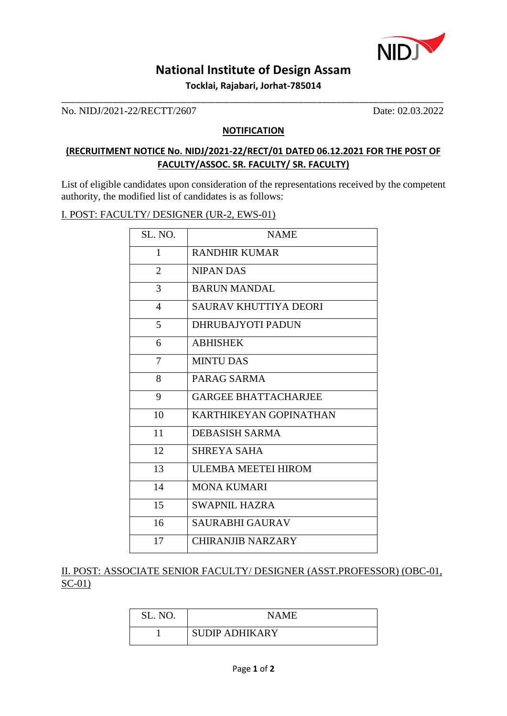

# **National Institute of Design Assam**

**Tocklai, Rajabari, Jorhat-785014** \_\_\_\_\_\_\_\_\_\_\_\_\_\_\_\_\_\_\_\_\_\_\_\_\_\_\_\_\_\_\_\_\_\_\_\_\_\_\_\_\_\_\_\_\_\_\_\_\_\_\_\_\_\_\_\_\_\_\_\_\_\_\_\_\_\_\_\_\_\_\_\_\_\_\_\_\_\_\_\_\_\_

No. NIDJ/2021-22/RECTT/2607 Date: 02.03.2022

#### **NOTIFICATION**

### **(RECRUITMENT NOTICE No. NIDJ/2021-22/RECT/01 DATED 06.12.2021 FOR THE POST OF FACULTY/ASSOC. SR. FACULTY/ SR. FACULTY)**

List of eligible candidates upon consideration of the representations received by the competent authority, the modified list of candidates is as follows:

#### I. POST: FACULTY/ DESIGNER (UR-2, EWS-01)

| SL. NO.        | <b>NAME</b>                 |
|----------------|-----------------------------|
| $\mathbf{1}$   | <b>RANDHIR KUMAR</b>        |
| $\overline{2}$ | <b>NIPAN DAS</b>            |
| 3              | <b>BARUN MANDAL</b>         |
| $\overline{4}$ | SAURAV KHUTTIYA DEORI       |
| 5              | <b>DHRUBAJYOTI PADUN</b>    |
| 6              | <b>ABHISHEK</b>             |
| 7              | <b>MINTU DAS</b>            |
| 8              | PARAG SARMA                 |
| 9              | <b>GARGEE BHATTACHARJEE</b> |
| 10             | KARTHIKEYAN GOPINATHAN      |
| 11             | <b>DEBASISH SARMA</b>       |
| 12             | <b>SHREYA SAHA</b>          |
| 13             | <b>ULEMBA MEETEI HIROM</b>  |
| 14             | <b>MONA KUMARI</b>          |
| 15             | <b>SWAPNIL HAZRA</b>        |
| 16             | <b>SAURABHI GAURAV</b>      |
| 17             | CHIRANJIB NARZARY           |

II. POST: ASSOCIATE SENIOR FACULTY/ DESIGNER (ASST.PROFESSOR) (OBC-01, SC-01)

| SL. NO. | NAME                  |
|---------|-----------------------|
|         | <b>SUDIP ADHIKARY</b> |